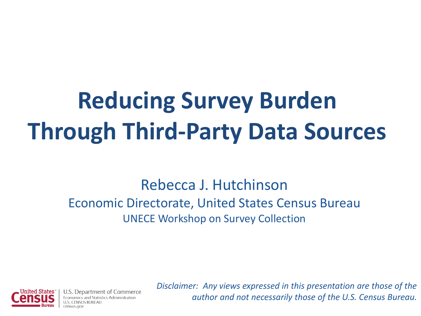# **Reducing Survey Burden Through Third-Party Data Sources**

#### Rebecca J. Hutchinson Economic Directorate, United States Census Bureau UNECE Workshop on Survey Collection



Denartment of Commerce tistics Administration

*Disclaimer: Any views expressed in this presentation are those of the author and not necessarily those of the U.S. Census Bureau.*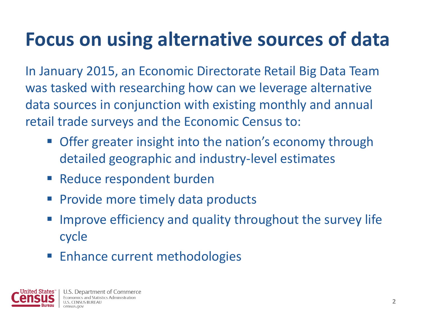## **Focus on using alternative sources of data**

In January 2015, an Economic Directorate Retail Big Data Team was tasked with researching how can we leverage alternative data sources in conjunction with existing monthly and annual retail trade surveys and the Economic Census to:

- **Offer greater insight into the nation's economy through** detailed geographic and industry-level estimates
- **Reduce respondent burden**
- **Provide more timely data products**
- Improve efficiency and quality throughout the survey life cycle
- **Enhance current methodologies**

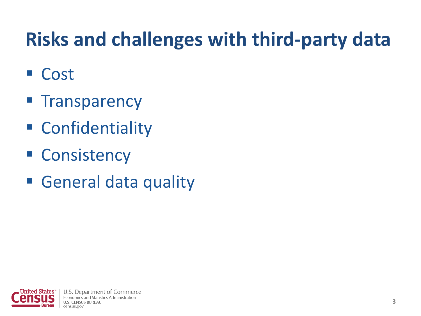## **Risks and challenges with third-party data**

- Cost
- **Transparency**
- Confidentiality
- **E** Consistency
- General data quality

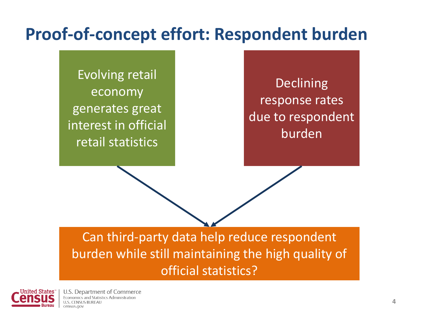#### **Proof-of-concept effort: Respondent burden**

Evolving retail economy generates great interest in official retail statistics

**Declining** response rates due to respondent burden

Can third-party data help reduce respondent burden while still maintaining the high quality of official statistics?



U.S. Department of Commerce Economics and Statistics Administration **ILS CENSUS RUREAL** census.gov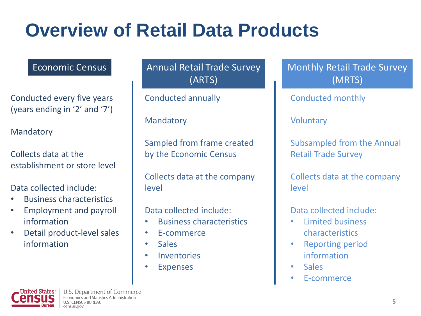## **Overview of Retail Data Products**

Conducted every five years (years ending in '2' and '7')

Mandatory

Collects data at the establishment or store level

Data collected include:

- Business characteristics
- Employment and payroll information
- Detail product-level sales information

Economic Census **Annual Retail Trade Survey** (ARTS)

Conducted annually

Mandatory

Sampled from frame created by the Economic Census

Collects data at the company level

Data collected include:

- Business characteristics
- E-commerce
- **Sales**
- **Inventories**
- **Expenses**

Monthly Retail Trade Survey (MRTS)

Conducted monthly

Voluntary

Subsampled from the Annual Retail Trade Survey

Collects data at the company level

Data collected include:

- Limited business characteristics
- Reporting period information
- Sales
- E-commerce

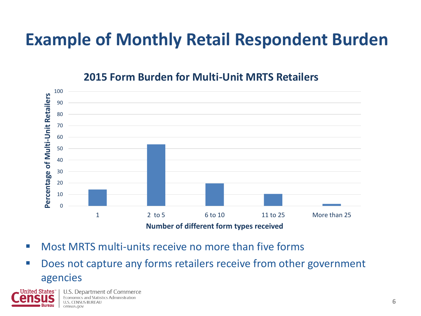#### **Example of Monthly Retail Respondent Burden**

#### **2015 Form Burden for Multi-Unit MRTS Retailers**



- Most MRTS multi-units receive no more than five forms
- Does not capture any forms retailers receive from other government agencies

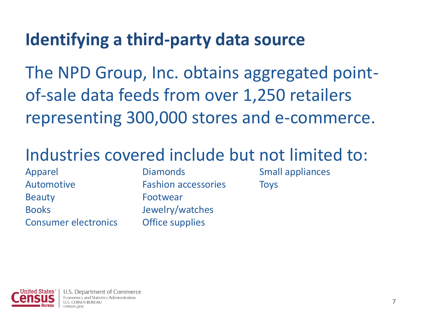#### **Identifying a third-party data source**

The NPD Group, Inc. obtains aggregated pointof-sale data feeds from over 1,250 retailers representing 300,000 stores and e-commerce.

#### Industries covered include but not limited to:

Apparel Automotive Beauty Books Consumer electronics

**Diamonds** Fashion accessories Footwear Jewelry/watches Office supplies

Small appliances **Toys** 

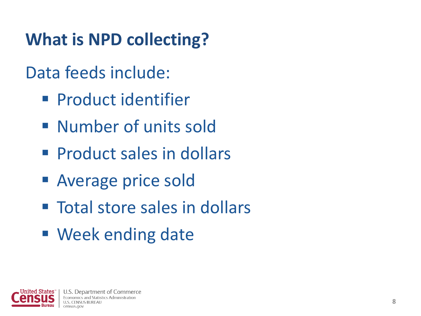## **What is NPD collecting?**

#### Data feeds include:

- **Product identifier**
- **Number of units sold**
- **Product sales in dollars**
- Average price sold
- **Total store sales in dollars**
- Week ending date

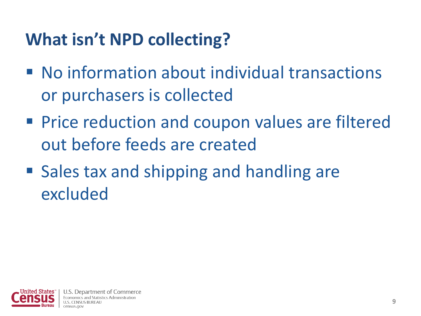### **What isn't NPD collecting?**

- No information about individual transactions or purchasers is collected
- **Price reduction and coupon values are filtered** out before feeds are created
- Sales tax and shipping and handling are excluded

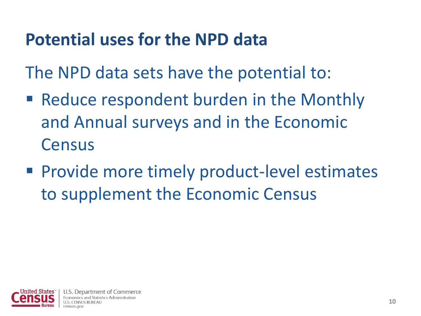#### **Potential uses for the NPD data**

The NPD data sets have the potential to:

- Reduce respondent burden in the Monthly and Annual surveys and in the Economic **Census**
- **Provide more timely product-level estimates** to supplement the Economic Census

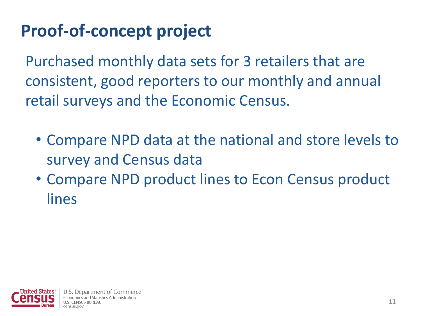## **Proof-of-concept project**

Purchased monthly data sets for 3 retailers that are consistent, good reporters to our monthly and annual retail surveys and the Economic Census.

- Compare NPD data at the national and store levels to survey and Census data
- Compare NPD product lines to Econ Census product lines

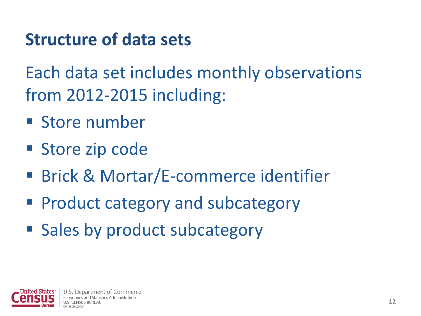#### **Structure of data sets**

Each data set includes monthly observations from 2012-2015 including:

- **Store number**
- Store zip code
- Brick & Mortar/E-commerce identifier
- **Product category and subcategory**
- Sales by product subcategory

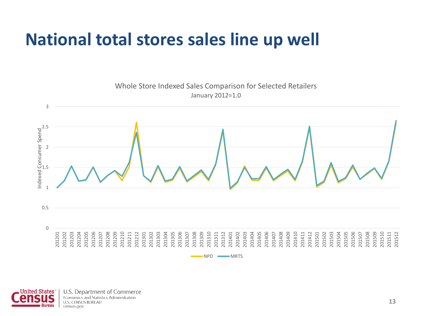#### **National total stores sales line up well**



Inited States<sup>®</sup> **Bureau** 

U.S. Department of Commerce Economics and Statistics Administration **U.S. CENSUS BUREAU** census.gov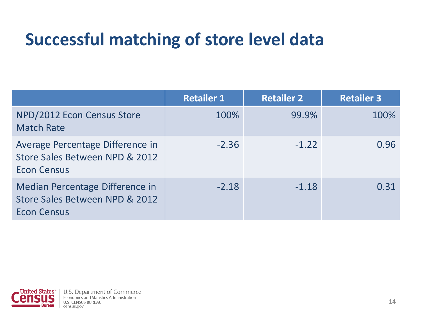#### **Successful matching of store level data**

|                                                                                          | <b>Retailer 1</b> | <b>Retailer 2</b> | <b>Retailer 3</b> |
|------------------------------------------------------------------------------------------|-------------------|-------------------|-------------------|
| NPD/2012 Econ Census Store<br><b>Match Rate</b>                                          | 100%              | 99.9%             | 100%              |
| Average Percentage Difference in<br>Store Sales Between NPD & 2012<br><b>Econ Census</b> | $-2.36$           | $-1.22$           | 0.96              |
| Median Percentage Difference in<br>Store Sales Between NPD & 2012<br><b>Econ Census</b>  | $-2.18$           | $-1.18$           | 0.31              |

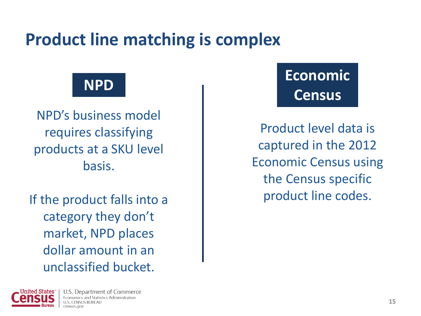#### **Product line matching is complex**

NPD's business model requires classifying products at a SKU level basis.

If the product falls into a category they don't market, NPD places dollar amount in an unclassified bucket.

#### **NPD Economic Census**

Product level data is captured in the 2012 Economic Census using the Census specific product line codes.

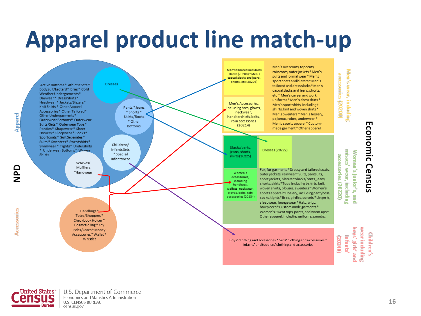# **Apparel product line match-up**

Men's overcoats, topcoats,

raincoats, outer jackets \* Men's

Men's tailored and dress





U.S. Department of Commerce Economics and Statistics Administration **U.S. CENSUS BUREAU** census.gov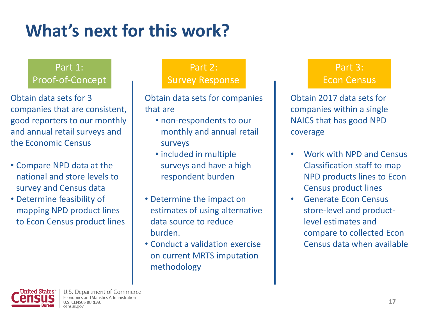## **What's next for this work?**

#### Part 1: Proof-of-Concept

Obtain data sets for 3 companies that are consistent, good reporters to our monthly and annual retail surveys and the Economic Census

- Compare NPD data at the national and store levels to survey and Census data
- Determine feasibility of mapping NPD product lines to Econ Census product lines

#### Part 2: Survey Response

Obtain data sets for companies that are

- non-respondents to our monthly and annual retail surveys
- included in multiple surveys and have a high respondent burden
- Determine the impact on estimates of using alternative data source to reduce burden.
- Conduct a validation exercise on current MRTS imputation methodology

#### Part 3: Econ Census

Obtain 2017 data sets for companies within a single NAICS that has good NPD coverage

- Work with NPD and Census Classification staff to map NPD products lines to Econ Census product lines
- Generate Econ Census store-level and productlevel estimates and compare to collected Econ Census data when available